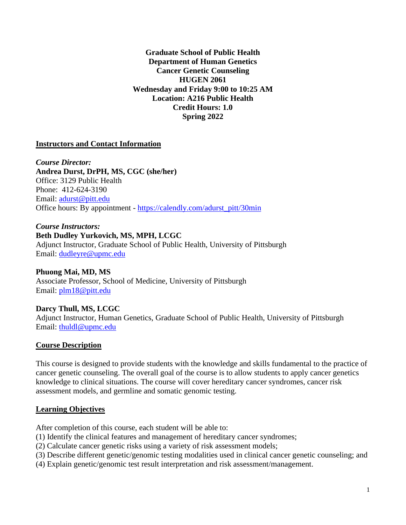**Graduate School of Public Health Department of Human Genetics Cancer Genetic Counseling HUGEN 2061 Wednesday and Friday 9:00 to 10:25 AM Location: A216 Public Health Credit Hours: 1.0 Spring 2022**

#### **Instructors and Contact Information**

*Course Director:* **Andrea Durst, DrPH, MS, CGC (she/her)** Office: 3129 Public Health Phone: 412-624-3190 Email: [adurst@pitt.edu](mailto:adurst@pitt.edu) Office hours: By appointment - [https://calendly.com/adurst\\_pitt/30min](https://calendly.com/adurst_pitt/30min)

*Course Instructors:* **Beth Dudley Yurkovich, MS, MPH, LCGC** Adjunct Instructor, Graduate School of Public Health, University of Pittsburgh Email: [dudleyre@upmc.edu](mailto:dudleyre@upmc.edu)

**Phuong Mai, MD, MS** Associate Professor, School of Medicine, University of Pittsburgh Email: [plm18@pitt.edu](mailto:plm18@pitt.edu)

**Darcy Thull, MS, LCGC** Adjunct Instructor, Human Genetics, Graduate School of Public Health, University of Pittsburgh Email: [thuldl@upmc.edu](mailto:thuldl@upmc.edu)

#### **Course Description**

This course is designed to provide students with the knowledge and skills fundamental to the practice of cancer genetic counseling. The overall goal of the course is to allow students to apply cancer genetics knowledge to clinical situations. The course will cover hereditary cancer syndromes, cancer risk assessment models, and germline and somatic genomic testing.

#### **Learning Objectives**

After completion of this course, each student will be able to:

- (1) Identify the clinical features and management of hereditary cancer syndromes;
- (2) Calculate cancer genetic risks using a variety of risk assessment models;
- (3) Describe different genetic/genomic testing modalities used in clinical cancer genetic counseling; and
- (4) Explain genetic/genomic test result interpretation and risk assessment/management.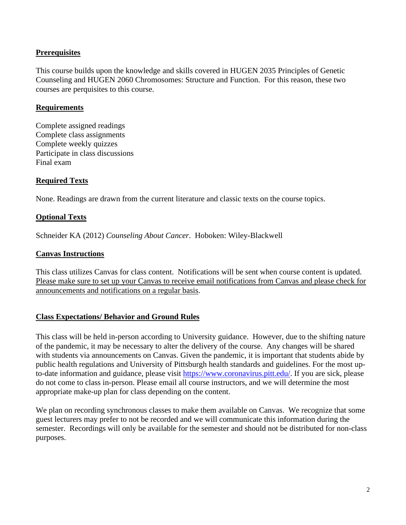## **Prerequisites**

This course builds upon the knowledge and skills covered in HUGEN 2035 Principles of Genetic Counseling and HUGEN 2060 Chromosomes: Structure and Function. For this reason, these two courses are perquisites to this course.

#### **Requirements**

Complete assigned readings Complete class assignments Complete weekly quizzes Participate in class discussions Final exam

## **Required Texts**

None. Readings are drawn from the current literature and classic texts on the course topics.

## **Optional Texts**

Schneider KA (2012) *Counseling About Cancer*. Hoboken: Wiley-Blackwell

#### **Canvas Instructions**

This class utilizes Canvas for class content. Notifications will be sent when course content is updated. Please make sure to set up your Canvas to receive email notifications from Canvas and please check for announcements and notifications on a regular basis.

#### **Class Expectations/ Behavior and Ground Rules**

This class will be held in-person according to University guidance. However, due to the shifting nature of the pandemic, it may be necessary to alter the delivery of the course. Any changes will be shared with students via announcements on Canvas. Given the pandemic, it is important that students abide by public health regulations and University of Pittsburgh health standards and guidelines. For the most upto-date information and guidance, please visit [https://www.coronavirus.pitt.edu/.](https://www.coronavirus.pitt.edu/) If you are sick, please do not come to class in-person. Please email all course instructors, and we will determine the most appropriate make-up plan for class depending on the content.

We plan on recording synchronous classes to make them available on Canvas. We recognize that some guest lecturers may prefer to not be recorded and we will communicate this information during the semester. Recordings will only be available for the semester and should not be distributed for non-class purposes.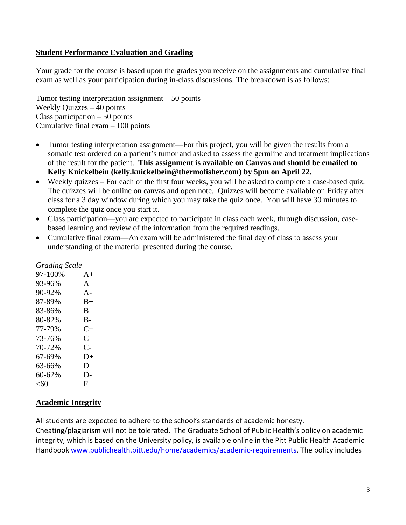## **Student Performance Evaluation and Grading**

Your grade for the course is based upon the grades you receive on the assignments and cumulative final exam as well as your participation during in-class discussions. The breakdown is as follows:

Tumor testing interpretation assignment – 50 points Weekly Quizzes – 40 points Class participation – 50 points Cumulative final exam – 100 points

- Tumor testing interpretation assignment—For this project, you will be given the results from a somatic test ordered on a patient's tumor and asked to assess the germline and treatment implications of the result for the patient. **This assignment is available on Canvas and should be emailed to Kelly Knickelbein (kelly.knickelbein@thermofisher.com) by 5pm on April 22.**
- Weekly quizzes For each of the first four weeks, you will be asked to complete a case-based quiz. The quizzes will be online on canvas and open note. Quizzes will become available on Friday after class for a 3 day window during which you may take the quiz once. You will have 30 minutes to complete the quiz once you start it.
- Class participation—you are expected to participate in class each week, through discussion, casebased learning and review of the information from the required readings.
- Cumulative final exam—An exam will be administered the final day of class to assess your understanding of the material presented during the course.

| <b>Grading Scale</b> |                      |
|----------------------|----------------------|
| 97-100%              | $A+$                 |
| 93-96%               | A                    |
| 90-92%               | $A -$                |
| 87-89%               | $B+$                 |
| 83-86%               | B                    |
| 80-82%               | B-                   |
| 77-79%               | $C_{\pm}$            |
| 73-76%               | C                    |
| 70-72%               | $\mathsf{C}\text{-}$ |
| 67-69%               | $D+$                 |
| 63-66%               | D                    |
| 60-62%               | D-                   |
| $<$ 60               | F                    |
|                      |                      |

# **Academic Integrity**

All students are expected to adhere to the school's standards of academic honesty.

Cheating/plagiarism will not be tolerated. The Graduate School of Public Health's policy on academic integrity, which is based on the University policy, is available online in the Pitt Public Health Academic Handbook [www.publichealth.pitt.edu/home/academics/academic-requirements.](https://na01.safelinks.protection.outlook.com/?url=http%3A%2F%2Fwww.publichealth.pitt.edu%2Fhome%2Facademics%2Facademic-requirements&data=01%7C01%7CRobin.Leaf%40pitt.edu%7Cd2b682f8df1344a1488b08d5f7078713%7C9ef9f489e0a04eeb87cc3a526112fd0d%7C1&sdata=6ufA2nSlUetTPqxC3zE70WlE7mLMvNKznCNB7nQHwj0%3D&reserved=0) The policy includes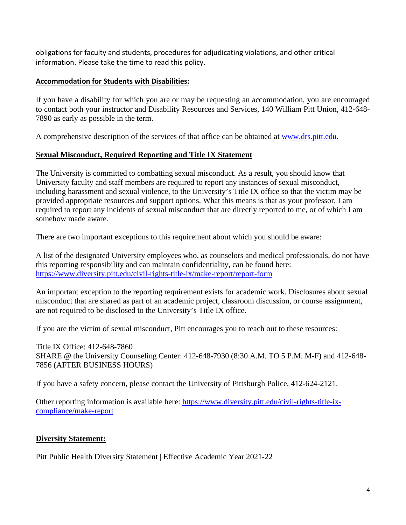obligations for faculty and students, procedures for adjudicating violations, and other critical information. Please take the time to read this policy.

## **Accommodation for Students with Disabilities:**

If you have a disability for which you are or may be requesting an accommodation, you are encouraged to contact both your instructor and Disability Resources and Services, 140 William Pitt Union, 412-648- 7890 as early as possible in the term.

A comprehensive description of the services of that office can be obtained at [www.drs.pitt.edu.](http://www.drs.pitt.edu/)

# **Sexual Misconduct, Required Reporting and Title IX Statement**

The University is committed to combatting sexual misconduct. As a result, you should know that University faculty and staff members are required to report any instances of sexual misconduct, including harassment and sexual violence, to the University's Title IX office so that the victim may be provided appropriate resources and support options. What this means is that as your professor, I am required to report any incidents of sexual misconduct that are directly reported to me, or of which I am somehow made aware.

There are two important exceptions to this requirement about which you should be aware:

A list of the designated University employees who, as counselors and medical professionals, do not have this reporting responsibility and can maintain confidentiality, can be found here: <https://www.diversity.pitt.edu/civil-rights-title-ix/make-report/report-form>

An important exception to the reporting requirement exists for academic work. Disclosures about sexual misconduct that are shared as part of an academic project, classroom discussion, or course assignment, are not required to be disclosed to the University's Title IX office.

If you are the victim of sexual misconduct, Pitt encourages you to reach out to these resources:

Title IX Office: 412-648-7860 SHARE @ the University Counseling Center: 412-648-7930 (8:30 A.M. TO 5 P.M. M-F) and 412-648- 7856 (AFTER BUSINESS HOURS)

If you have a safety concern, please contact the University of Pittsburgh Police, 412-624-2121.

Other reporting information is available here: [https://www.diversity.pitt.edu/civil-rights-title-ix](https://www.diversity.pitt.edu/civil-rights-title-ix-compliance/make-report)[compliance/make-report](https://www.diversity.pitt.edu/civil-rights-title-ix-compliance/make-report)

# **Diversity Statement:**

Pitt Public Health Diversity Statement | Effective Academic Year 2021‐22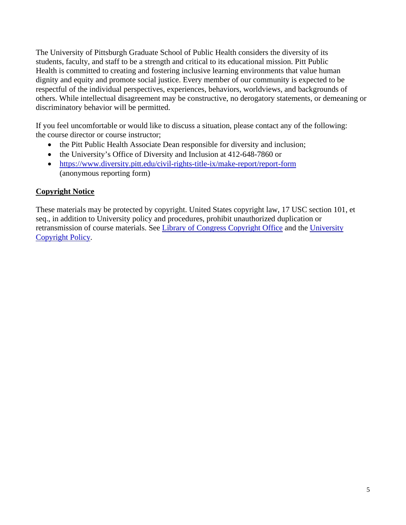The University of Pittsburgh Graduate School of Public Health considers the diversity of its students, faculty, and staff to be a strength and critical to its educational mission. Pitt Public Health is committed to creating and fostering inclusive learning environments that value human dignity and equity and promote social justice. Every member of our community is expected to be respectful of the individual perspectives, experiences, behaviors, worldviews, and backgrounds of others. While intellectual disagreement may be constructive, no derogatory statements, or demeaning or discriminatory behavior will be permitted.

If you feel uncomfortable or would like to discuss a situation, please contact any of the following: the course director or course instructor;

- the Pitt Public Health Associate Dean responsible for diversity and inclusion;
- the University's Office of Diversity and Inclusion at 412-648-7860 or
- <https://www.diversity.pitt.edu/civil-rights-title-ix/make-report/report-form> (anonymous reporting form)

## **Copyright Notice**

These materials may be protected by copyright. United States copyright law, 17 USC section 101, et seq., in addition to University policy and procedures, prohibit unauthorized duplication or retransmission of course materials. See [Library of Congress Copyright Office](http://www.copyright.gov/) and the [University](https://www.policy.pitt.edu/cs-03-copying-copyrighted-material-formerly-10-04-01)  [Copyright Policy.](https://www.policy.pitt.edu/cs-03-copying-copyrighted-material-formerly-10-04-01)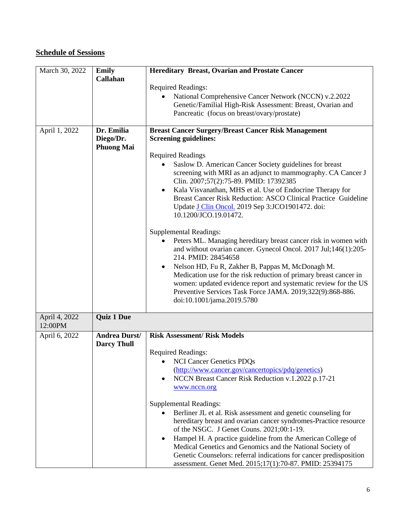# **Schedule of Sessions**

| March 30, 2022           | <b>Emily</b><br>Callahan                   | <b>Hereditary Breast, Ovarian and Prostate Cancer</b><br><b>Required Readings:</b>                                                                                                                                                                                                               |
|--------------------------|--------------------------------------------|--------------------------------------------------------------------------------------------------------------------------------------------------------------------------------------------------------------------------------------------------------------------------------------------------|
|                          |                                            | National Comprehensive Cancer Network (NCCN) v.2.2022<br>Genetic/Familial High-Risk Assessment: Breast, Ovarian and<br>Pancreatic (focus on breast/ovary/prostate)                                                                                                                               |
| April 1, 2022            | Dr. Emilia<br>Diego/Dr.                    | <b>Breast Cancer Surgery/Breast Cancer Risk Management</b><br><b>Screening guidelines:</b>                                                                                                                                                                                                       |
|                          | <b>Phuong Mai</b>                          | <b>Required Readings</b>                                                                                                                                                                                                                                                                         |
|                          |                                            | Saslow D. American Cancer Society guidelines for breast<br>screening with MRI as an adjunct to mammography. CA Cancer J<br>Clin. 2007;57(2):75-89. PMID: 17392385                                                                                                                                |
|                          |                                            | Kala Visvanathan, MHS et al. Use of Endocrine Therapy for<br>$\bullet$<br>Breast Cancer Risk Reduction: ASCO Clinical Practice Guideline<br>Update J Clin Oncol. 2019 Sep 3:JCO1901472. doi:<br>10.1200/JCO.19.01472.                                                                            |
|                          |                                            | <b>Supplemental Readings:</b>                                                                                                                                                                                                                                                                    |
|                          |                                            | Peters ML. Managing hereditary breast cancer risk in women with<br>and without ovarian cancer. Gynecol Oncol. 2017 Jul;146(1):205-<br>214. PMID: 28454658                                                                                                                                        |
|                          |                                            | Nelson HD, Fu R, Zakher B, Pappas M, McDonagh M.<br>$\bullet$<br>Medication use for the risk reduction of primary breast cancer in<br>women: updated evidence report and systematic review for the US<br>Preventive Services Task Force JAMA. 2019;322(9):868-886.<br>doi:10.1001/jama.2019.5780 |
| April 4, 2022<br>12:00PM | <b>Quiz 1 Due</b>                          |                                                                                                                                                                                                                                                                                                  |
| April 6, 2022            | <b>Andrea Durst/</b><br><b>Darcy Thull</b> | <b>Risk Assessment/ Risk Models</b>                                                                                                                                                                                                                                                              |
|                          |                                            | <b>Required Readings:</b>                                                                                                                                                                                                                                                                        |
|                          |                                            | • NCI Cancer Genetics PDQs<br>(http://www.cancer.gov/cancertopics/pdq/genetics)                                                                                                                                                                                                                  |
|                          |                                            | NCCN Breast Cancer Risk Reduction v.1.2022 p.17-21                                                                                                                                                                                                                                               |
|                          |                                            | www.nccn.org                                                                                                                                                                                                                                                                                     |
|                          |                                            | <b>Supplemental Readings:</b>                                                                                                                                                                                                                                                                    |
|                          |                                            | Berliner JL et al. Risk assessment and genetic counseling for<br>hereditary breast and ovarian cancer syndromes-Practice resource<br>of the NSGC. J Genet Couns. 2021;00:1-19.                                                                                                                   |
|                          |                                            | Hampel H. A practice guideline from the American College of<br>Medical Genetics and Genomics and the National Society of<br>Genetic Counselors: referral indications for cancer predisposition<br>assessment. Genet Med. 2015;17(1):70-87. PMID: 25394175                                        |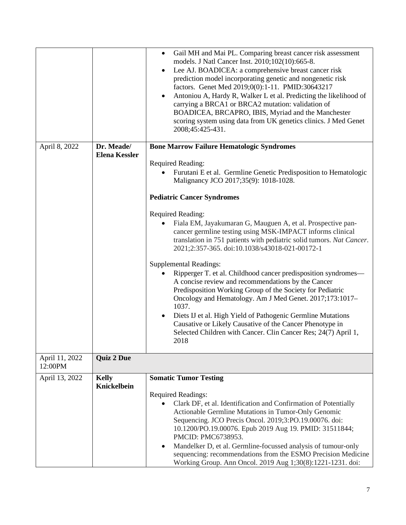|                           |                                    | Gail MH and Mai PL. Comparing breast cancer risk assessment<br>$\bullet$<br>models. J Natl Cancer Inst. 2010;102(10):665-8.<br>Lee AJ. BOADICEA: a comprehensive breast cancer risk<br>$\bullet$<br>prediction model incorporating genetic and nongenetic risk<br>factors. Genet Med 2019;0(0):1-11. PMID:30643217<br>Antoniou A, Hardy R, Walker L et al. Predicting the likelihood of<br>$\bullet$<br>carrying a BRCA1 or BRCA2 mutation: validation of<br>BOADICEA, BRCAPRO, IBIS, Myriad and the Manchester<br>scoring system using data from UK genetics clinics. J Med Genet<br>2008;45:425-431. |
|---------------------------|------------------------------------|--------------------------------------------------------------------------------------------------------------------------------------------------------------------------------------------------------------------------------------------------------------------------------------------------------------------------------------------------------------------------------------------------------------------------------------------------------------------------------------------------------------------------------------------------------------------------------------------------------|
| April 8, 2022             | Dr. Meade/<br><b>Elena Kessler</b> | <b>Bone Marrow Failure Hematologic Syndromes</b>                                                                                                                                                                                                                                                                                                                                                                                                                                                                                                                                                       |
|                           |                                    | <b>Required Reading:</b>                                                                                                                                                                                                                                                                                                                                                                                                                                                                                                                                                                               |
|                           |                                    | Furutani E et al. Germline Genetic Predisposition to Hematologic<br>Malignancy JCO 2017;35(9): 1018-1028.                                                                                                                                                                                                                                                                                                                                                                                                                                                                                              |
|                           |                                    | <b>Pediatric Cancer Syndromes</b>                                                                                                                                                                                                                                                                                                                                                                                                                                                                                                                                                                      |
|                           |                                    | <b>Required Reading:</b><br>Fiala EM, Jayakumaran G, Mauguen A, et al. Prospective pan-<br>cancer germline testing using MSK-IMPACT informs clinical<br>translation in 751 patients with pediatric solid tumors. Nat Cancer.<br>2021;2:357-365. doi:10.1038/s43018-021-00172-1                                                                                                                                                                                                                                                                                                                         |
|                           |                                    | <b>Supplemental Readings:</b><br>Ripperger T. et al. Childhood cancer predisposition syndromes—<br>A concise review and recommendations by the Cancer<br>Predisposition Working Group of the Society for Pediatric<br>Oncology and Hematology. Am J Med Genet. 2017;173:1017-<br>1037.<br>Diets IJ et al. High Yield of Pathogenic Germline Mutations<br>Causative or Likely Causative of the Cancer Phenotype in<br>Selected Children with Cancer. Clin Cancer Res; 24(7) April 1,<br>2018                                                                                                            |
| April 11, 2022<br>12:00PM | <b>Quiz 2 Due</b>                  |                                                                                                                                                                                                                                                                                                                                                                                                                                                                                                                                                                                                        |
| April 13, 2022            | <b>Kelly</b><br>Knickelbein        | <b>Somatic Tumor Testing</b>                                                                                                                                                                                                                                                                                                                                                                                                                                                                                                                                                                           |
|                           |                                    | <b>Required Readings:</b>                                                                                                                                                                                                                                                                                                                                                                                                                                                                                                                                                                              |
|                           |                                    | Clark DF, et al. Identification and Confirmation of Potentially<br>Actionable Germline Mutations in Tumor-Only Genomic                                                                                                                                                                                                                                                                                                                                                                                                                                                                                 |
|                           |                                    | Sequencing. JCO Precis Oncol. 2019;3:PO.19.00076. doi:                                                                                                                                                                                                                                                                                                                                                                                                                                                                                                                                                 |
|                           |                                    | 10.1200/PO.19.00076. Epub 2019 Aug 19. PMID: 31511844;<br>PMCID: PMC6738953.                                                                                                                                                                                                                                                                                                                                                                                                                                                                                                                           |
|                           |                                    | Mandelker D, et al. Germline-focussed analysis of tumour-only<br>$\bullet$                                                                                                                                                                                                                                                                                                                                                                                                                                                                                                                             |
|                           |                                    | sequencing: recommendations from the ESMO Precision Medicine<br>Working Group. Ann Oncol. 2019 Aug 1;30(8):1221-1231. doi:                                                                                                                                                                                                                                                                                                                                                                                                                                                                             |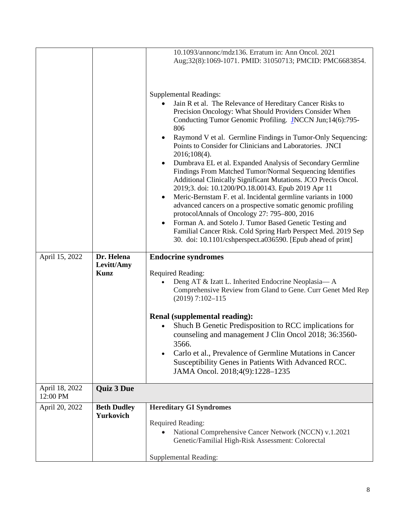|                            |                                         | 10.1093/annonc/mdz136. Erratum in: Ann Oncol. 2021<br>Aug;32(8):1069-1071. PMID: 31050713; PMCID: PMC6683854.                                                                                                                                                                                                                                                                                                                                                                                                                                                                                                                                                                                                                                                                                                                                                                                                                                                                                                               |
|----------------------------|-----------------------------------------|-----------------------------------------------------------------------------------------------------------------------------------------------------------------------------------------------------------------------------------------------------------------------------------------------------------------------------------------------------------------------------------------------------------------------------------------------------------------------------------------------------------------------------------------------------------------------------------------------------------------------------------------------------------------------------------------------------------------------------------------------------------------------------------------------------------------------------------------------------------------------------------------------------------------------------------------------------------------------------------------------------------------------------|
|                            |                                         | <b>Supplemental Readings:</b><br>Jain R et al. The Relevance of Hereditary Cancer Risks to<br>Precision Oncology: What Should Providers Consider When<br>Conducting Tumor Genomic Profiling. JNCCN Jun;14(6):795-<br>806<br>Raymond V et al. Germline Findings in Tumor-Only Sequencing:<br>Points to Consider for Clinicians and Laboratories. JNCI<br>2016;108(4).<br>Dumbrava EL et al. Expanded Analysis of Secondary Germline<br>$\bullet$<br>Findings From Matched Tumor/Normal Sequencing Identifies<br>Additional Clinically Significant Mutations. JCO Precis Oncol.<br>2019;3. doi: 10.1200/PO.18.00143. Epub 2019 Apr 11<br>Meric-Bernstam F. et al. Incidental germline variants in 1000<br>advanced cancers on a prospective somatic genomic profiling<br>protocolAnnals of Oncology 27: 795-800, 2016<br>Forman A. and Sotelo J. Tumor Based Genetic Testing and<br>$\bullet$<br>Familial Cancer Risk. Cold Spring Harb Perspect Med. 2019 Sep<br>30. doi: 10.1101/cshperspect.a036590. [Epub ahead of print] |
| April 15, 2022             | Dr. Helena<br>Levitt/Amy<br><b>Kunz</b> | <b>Endocrine syndromes</b><br><b>Required Reading:</b><br>Deng AT & Izatt L. Inherited Endocrine Neoplasia—A<br>Comprehensive Review from Gland to Gene. Curr Genet Med Rep<br>$(2019) 7:102 - 115$<br><b>Renal (supplemental reading):</b><br>Shuch B Genetic Predisposition to RCC implications for<br>counseling and management J Clin Oncol 2018; 36:3560-<br>3566.<br>Carlo et al., Prevalence of Germline Mutations in Cancer                                                                                                                                                                                                                                                                                                                                                                                                                                                                                                                                                                                         |
| April 18, 2022<br>12:00 PM | <b>Quiz 3 Due</b>                       | Susceptibility Genes in Patients With Advanced RCC.<br>JAMA Oncol. 2018;4(9):1228-1235                                                                                                                                                                                                                                                                                                                                                                                                                                                                                                                                                                                                                                                                                                                                                                                                                                                                                                                                      |
| April 20, 2022             | <b>Beth Dudley</b><br><b>Yurkovich</b>  | <b>Hereditary GI Syndromes</b><br><b>Required Reading:</b><br>National Comprehensive Cancer Network (NCCN) v.1.2021<br>Genetic/Familial High-Risk Assessment: Colorectal                                                                                                                                                                                                                                                                                                                                                                                                                                                                                                                                                                                                                                                                                                                                                                                                                                                    |
|                            |                                         | <b>Supplemental Reading:</b>                                                                                                                                                                                                                                                                                                                                                                                                                                                                                                                                                                                                                                                                                                                                                                                                                                                                                                                                                                                                |